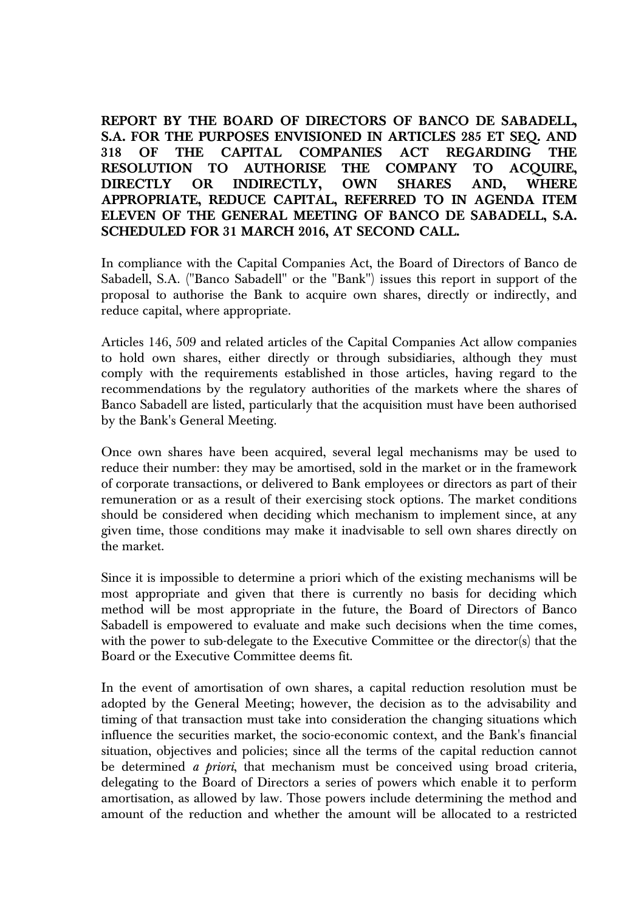**REPORT BY THE BOARD OF DIRECTORS OF BANCO DE SABADELL, S.A. FOR THE PURPOSES ENVISIONED IN ARTICLES 285 ET SEQ. AND 318 OF THE CAPITAL COMPANIES ACT REGARDING THE RESOLUTION TO AUTHORISE THE COMPANY TO ACQUIRE, DIRECTLY OR INDIRECTLY, OWN SHARES AND, WHERE APPROPRIATE, REDUCE CAPITAL, REFERRED TO IN AGENDA ITEM ELEVEN OF THE GENERAL MEETING OF BANCO DE SABADELL, S.A. SCHEDULED FOR 31 MARCH 2016, AT SECOND CALL.** 

In compliance with the Capital Companies Act, the Board of Directors of Banco de Sabadell, S.A. ("Banco Sabadell" or the "Bank") issues this report in support of the proposal to authorise the Bank to acquire own shares, directly or indirectly, and reduce capital, where appropriate.

Articles 146, 509 and related articles of the Capital Companies Act allow companies to hold own shares, either directly or through subsidiaries, although they must comply with the requirements established in those articles, having regard to the recommendations by the regulatory authorities of the markets where the shares of Banco Sabadell are listed, particularly that the acquisition must have been authorised by the Bank's General Meeting.

Once own shares have been acquired, several legal mechanisms may be used to reduce their number: they may be amortised, sold in the market or in the framework of corporate transactions, or delivered to Bank employees or directors as part of their remuneration or as a result of their exercising stock options. The market conditions should be considered when deciding which mechanism to implement since, at any given time, those conditions may make it inadvisable to sell own shares directly on the market.

Since it is impossible to determine a priori which of the existing mechanisms will be most appropriate and given that there is currently no basis for deciding which method will be most appropriate in the future, the Board of Directors of Banco Sabadell is empowered to evaluate and make such decisions when the time comes, with the power to sub-delegate to the Executive Committee or the director(s) that the Board or the Executive Committee deems fit.

In the event of amortisation of own shares, a capital reduction resolution must be adopted by the General Meeting; however, the decision as to the advisability and timing of that transaction must take into consideration the changing situations which influence the securities market, the socio-economic context, and the Bank's financial situation, objectives and policies; since all the terms of the capital reduction cannot be determined *a priori*, that mechanism must be conceived using broad criteria, delegating to the Board of Directors a series of powers which enable it to perform amortisation, as allowed by law. Those powers include determining the method and amount of the reduction and whether the amount will be allocated to a restricted